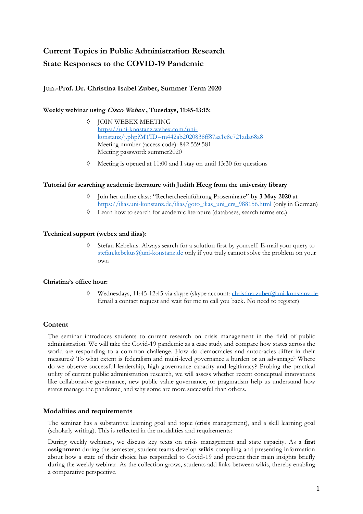# **Current Topics in Public Administration Research State Responses to the COVID-19 Pandemic**

# **Jun.-Prof. Dr. Christina Isabel Zuber, Summer Term 2020**

## **Weekly webinar using Cisco Webex , Tuesdays, 11:45-13:15:**

- $\lozenge$  JOIN WEBEX MEETING [https://uni-konstanz.webex.com/uni](https://www.google.com/url?q=https%3A%2F%2Funi-konstanz.webex.com%2Funi-konstanz%2Fj.php%3FMTID%3Dm442ab2020838ff87aa1c8e721ada68a8&sa=D&ust=1588241943981000&usg=AOvVaw17VyDIGH5WN2MfFrS0J2vf)[konstanz/j.php?MTID=m442ab2020838ff87aa1c8e721ada68a8](https://www.google.com/url?q=https%3A%2F%2Funi-konstanz.webex.com%2Funi-konstanz%2Fj.php%3FMTID%3Dm442ab2020838ff87aa1c8e721ada68a8&sa=D&ust=1588241943981000&usg=AOvVaw17VyDIGH5WN2MfFrS0J2vf) Meeting number (access code): 842 559 581 Meeting password: summer2020
- $\Diamond$  Meeting is opened at 11:00 and I stay on until 13:30 for questions

## **Tutorial for searching academic literature with Judith Heeg from the university library**

- Join her online class: "Rechercheeinführung Proseminare" **by 3 May 2020** at [https://ilias.uni-konstanz.de/ilias/goto\\_ilias\\_uni\\_crs\\_988156.html](https://ilias.uni-konstanz.de/ilias/goto_ilias_uni_crs_988156.html) (only in German)
- Learn how to search for academic literature (databases, search terms etc.)

#### **Technical support (webex and ilias):**

 Stefan Kebekus. Always search for a solution first by yourself. E-mail your query to [stefan.kebekus@uni-konstanz.de](mailto:stefan.kebekus@uni-konstanz.de) only if you truly cannot solve the problem on your own

## **Christina's office hour:**

 Wednesdays, 11:45-12:45 via skype (skype account: [christina.zuber@uni-konstanz.de.](mailto:christina.zuber@uni-konstanz.de) Email a contact request and wait for me to call you back. No need to register)

## **Content**

The seminar introduces students to current research on crisis management in the field of public administration. We will take the Covid-19 pandemic as a case study and compare how states across the world are responding to a common challenge. How do democracies and autocracies differ in their measures? To what extent is federalism and multi-level governance a burden or an advantage? Where do we observe successful leadership, high governance capacity and legitimacy? Probing the practical utility of current public administration research, we will assess whether recent conceptual innovations like collaborative governance, new public value governance, or pragmatism help us understand how states manage the pandemic, and why some are more successful than others.

## **Modalities and requirements**

The seminar has a substantive learning goal and topic (crisis management), and a skill learning goal (scholarly writing). This is reflected in the modalities and requirements:

During weekly webinars, we discuss key texts on crisis management and state capacity. As a **first assignment** during the semester, student teams develop **wikis** compiling and presenting information about how a state of their choice has responded to Covid-19 and present their main insights briefly during the weekly webinar. As the collection grows, students add links between wikis, thereby enabling a comparative perspective.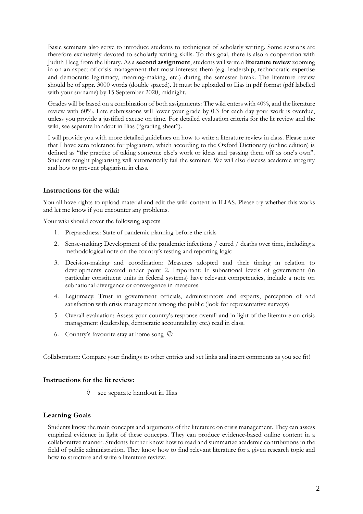Basic seminars also serve to introduce students to techniques of scholarly writing. Some sessions are therefore exclusively devoted to scholarly writing skills. To this goal, there is also a cooperation with Judith Heeg from the library. As a **second assignment**, students will write a **literature review** zooming in on an aspect of crisis management that most interests them (e.g. leadership, technocratic expertise and democratic legitimacy, meaning-making, etc.) during the semester break. The literature review should be of appr. 3000 words (double spaced). It must be uploaded to Ilias in pdf format (pdf labelled with your surname) by 15 September 2020, midnight.

Grades will be based on a combination of both assignments: The wiki enters with 40%, and the literature review with 60%. Late submissions will lower your grade by 0.3 for each day your work is overdue, unless you provide a justified excuse on time. For detailed evaluation criteria for the lit review and the wiki, see separate handout in Ilias ("grading sheet").

I will provide you with more detailed guidelines on how to write a literature review in class. Please note that I have zero tolerance for plagiarism, which according to the Oxford Dictionary (online edition) is defined as "the practice of taking someone else's work or ideas and passing them off as one's own". Students caught plagiarising will automatically fail the seminar. We will also discuss academic integrity and how to prevent plagiarism in class.

## **Instructions for the wiki:**

You all have rights to upload material and edit the wiki content in ILIAS. Please try whether this works and let me know if you encounter any problems.

Your wiki should cover the following aspects

- 1. Preparedness: State of pandemic planning before the crisis
- 2. Sense-making: Development of the pandemic: infections / cured / deaths over time, including a methodological note on the country's testing and reporting logic
- 3. Decision-making and coordination: Measures adopted and their timing in relation to developments covered under point 2. Important: If subnational levels of government (in particular constituent units in federal systems) have relevant competencies, include a note on subnational divergence or convergence in measures.
- 4. Legitimacy: Trust in government officials, administrators and experts, perception of and satisfaction with crisis management among the public (look for representative surveys)
- 5. Overall evaluation: Assess your country's response overall and in light of the literature on crisis management (leadership, democratic accountability etc.) read in class.
- 6. Country's favourite stay at home song  $\odot$

Collaboration: Compare your findings to other entries and set links and insert comments as you see fit!

## **Instructions for the lit review:**

see separate handout in Ilias

## **Learning Goals**

Students know the main concepts and arguments of the literature on crisis management. They can assess empirical evidence in light of these concepts. They can produce evidence-based online content in a collaborative manner. Students further know how to read and summarize academic contributions in the field of public administration. They know how to find relevant literature for a given research topic and how to structure and write a literature review.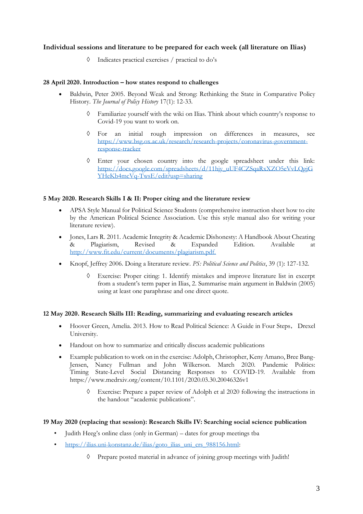# **Individual sessions and literature to be prepared for each week (all literature on Ilias)**

Indicates practical exercises / practical to do's

## **28 April 2020. Introduction – how states respond to challenges**

- Baldwin, Peter 2005. Beyond Weak and Strong: Rethinking the State in Comparative Policy History. *The Journal of Policy History* 17(1): 12-33.
	- Familiarize yourself with the wiki on Ilias. Think about which country's response to Covid-19 you want to work on.
	- For an initial rough impression on differences in measures, see [https://www.bsg.ox.ac.uk/research/research-projects/coronavirus-government](https://www.bsg.ox.ac.uk/research/research-projects/coronavirus-government-response-tracker)[response-tracker](https://www.bsg.ox.ac.uk/research/research-projects/coronavirus-government-response-tracker)
	- Enter your chosen country into the google spreadsheet under this link: [https://docs.google.com/spreadsheets/d/11hjy\\_uUF4CZSqaRxXZO5eVvLQgjG](https://docs.google.com/spreadsheets/d/11hjy_uUF4CZSqaRxXZO5eVvLQgjGYHeKb4mcVq-TwsE/edit?usp=sharing) [YHeKb4mcVq-TwsE/edit?usp=sharing](https://docs.google.com/spreadsheets/d/11hjy_uUF4CZSqaRxXZO5eVvLQgjGYHeKb4mcVq-TwsE/edit?usp=sharing)

## **5 May 2020. Research Skills I & II: Proper citing and the literature review**

- APSA Style Manual for Political Science Students (comprehensive instruction sheet how to cite by the American Political Science Association. Use this style manual also for writing your literature review).
- Jones, Lars R. 2011. Academic Integrity & Academic Dishonesty: A Handbook About Cheating & Plagiarism, Revised & Expanded Edition. Available at [http://www.fit.edu/current/documents/plagiarism.pdf.](http://www.fit.edu/current/documents/plagiarism.pdf)
- Knopf, Jeffrey 2006. Doing a literature review. *PS: Political Science and Politics*, 39 (1): 127-132.
	- Exercise: Proper citing: 1. Identify mistakes and improve literature list in excerpt from a student's term paper in Ilias, 2. Summarise main argument in Baldwin (2005) using at least one paraphrase and one direct quote.

## **12 May 2020. Research Skills III: Reading, summarizing and evaluating research articles**

- Hoover Green, Amelia. 2013. How to Read Political Science: A Guide in Four Steps, Drexel University.
- Handout on how to summarize and critically discuss academic publications
- Example publication to work on in the exercise: Adolph, Christopher, Keny Amano, Bree Bang-Jensen, Nancy Fullman and John Wilkerson. March 2020. Pandemic Politics: Timing State-Level Social Distancing Responses to COVID-19. Available from https://www.medrxiv.org/content/10.1101/2020.03.30.20046326v1
	- Exercise: Prepare a paper review of Adolph et al 2020 following the instructions in the handout "academic publications".

## **19 May 2020 (replacing that session): Research Skills IV: Searching social science publication**

- Judith Heeg's online class (only in German) dates for group meetings tba
- [https://ilias.uni-konstanz.de/ilias/goto\\_ilias\\_uni\\_crs\\_988156.html:](https://ilias.uni-konstanz.de/ilias/goto_ilias_uni_crs_988156.html)
	- Prepare posted material in advance of joining group meetings with Judith!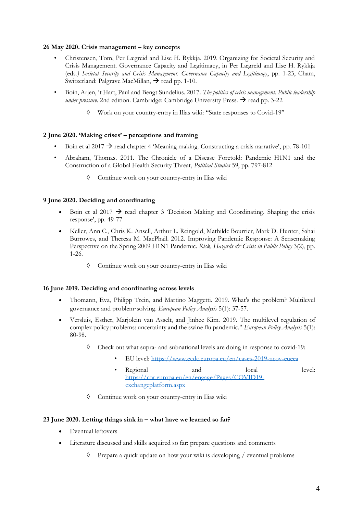#### **26 May 2020. Crisis management – key concepts**

- Christensen, Tom, Per Lægreid and Lise H. Rykkja. 2019. Organizing for Societal Security and Crisis Management. Governance Capacity and Legitimacy, in Per Lægreid and Lise H. Rykkja (eds*.) Societal Security and Crisis Management. Governance Capacity and Legitimacy*, pp. 1-23, Cham, Switzerland: Palgrave MacMillan,  $\rightarrow$  read pp. 1-10.
- Boin, Arjen, 't Hart, Paul and Bengt Sundelius. 2017. *The politics of crisis management. Public leadership under pressure.* 2nd edition. Cambridge: Cambridge University Press.  $\rightarrow$  read pp. 3-22
	- Work on your country-entry in Ilias wiki: "State responses to Covid-19"

## **2 June 2020. 'Making crises' – perceptions and framing**

- Boin et al 2017  $\rightarrow$  read chapter 4 'Meaning making. Constructing a crisis narrative', pp. 78-101
- Abraham, Thomas. 2011. The Chronicle of a Disease Foretold: Pandemic H1N1 and the Construction of a Global Health Security Threat, *Political Studies* 59, pp. 797-812
	- Continue work on your country-entry in Ilias wiki

## **9 June 2020. Deciding and coordinating**

- Boin et al 2017  $\rightarrow$  read chapter 3 'Decision Making and Coordinating. Shaping the crisis response', pp. 49-77
- Keller, Ann C., Chris K. Ansell, Arthur L. Reingold, Mathilde Bourrier, Mark D. Hunter, Sahai Burrowes, and Theresa M. MacPhail. 2012. Improving Pandemic Response: A Sensemaking Perspective on the Spring 2009 H1N1 Pandemic. *Risk, Hazards & Crisis in Public Policy* 3(2), pp. 1-26.
	- Continue work on your country-entry in Ilias wiki

## **16 June 2019. Deciding and coordinating across levels**

- Thomann, Eva, Philipp Trein, and Martino Maggetti. 2019. What's the problem? Multilevel governance and problem‐solving. *European Policy Analysis* 5(1): 37-57.
- Versluis, Esther, Marjolein van Asselt, and Jinhee Kim. 2019. The multilevel regulation of complex policy problems: uncertainty and the swine flu pandemic." *European Policy Analysis* 5(1): 80-98.
	- Check out what supra- and subnational levels are doing in response to covid-19:
		- EU level:<https://www.ecdc.europa.eu/en/cases-2019-ncov-eueea>
		- Regional and local level: [https://cor.europa.eu/en/engage/Pages/COVID19](https://cor.europa.eu/en/engage/Pages/COVID19-exchangeplatform.aspx) [exchangeplatform.aspx](https://cor.europa.eu/en/engage/Pages/COVID19-exchangeplatform.aspx)
	- Continue work on your country-entry in Ilias wiki

## **23 June 2020. Letting things sink in – what have we learned so far?**

- Eventual leftovers
- Literature discussed and skills acquired so far: prepare questions and comments
	- $\Diamond$  Prepare a quick update on how your wiki is developing / eventual problems